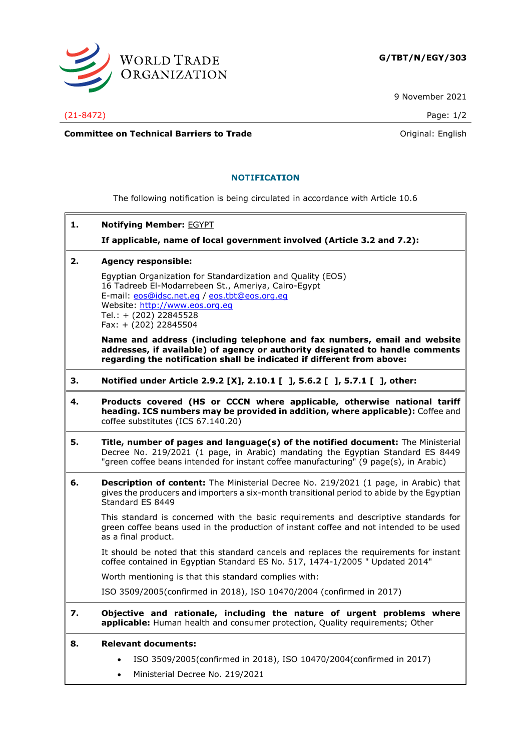

9 November 2021

(21-8472) Page: 1/2

**Committee on Technical Barriers to Trade Committee on Technical Barriers to Trade Original:** English

## **NOTIFICATION**

The following notification is being circulated in accordance with Article 10.6

**1. Notifying Member:** EGYPT

**If applicable, name of local government involved (Article 3.2 and 7.2):**

**2. Agency responsible:**

Egyptian Organization for Standardization and Quality (EOS) 16 Tadreeb El-Modarrebeen St., Ameriya, Cairo-Egypt E-mail: [eos@idsc.net.eg](mailto:eos@idsc.net.eg) / [eos.tbt@eos.org.eg](mailto:eos.tbt@eos.org.eg) Website: [http://www.eos.org.eg](http://www.eos.org.eg/) Tel.: + (202) 22845528 Fax: + (202) 22845504

**Name and address (including telephone and fax numbers, email and website addresses, if available) of agency or authority designated to handle comments regarding the notification shall be indicated if different from above:**

- **3. Notified under Article 2.9.2 [X], 2.10.1 [ ], 5.6.2 [ ], 5.7.1 [ ], other:**
- **4. Products covered (HS or CCCN where applicable, otherwise national tariff heading. ICS numbers may be provided in addition, where applicable):** Coffee and coffee substitutes (ICS 67.140.20)
- **5. Title, number of pages and language(s) of the notified document:** The Ministerial Decree No. 219/2021 (1 page, in Arabic) mandating the Egyptian Standard ES 8449 "green coffee beans intended for instant coffee manufacturing" (9 page(s), in Arabic)
- **6. Description of content:** The Ministerial Decree No. 219/2021 (1 page, in Arabic) that gives the producers and importers a six-month transitional period to abide by the Egyptian Standard ES 8449

This standard is concerned with the basic requirements and descriptive standards for green coffee beans used in the production of instant coffee and not intended to be used as a final product.

It should be noted that this standard cancels and replaces the requirements for instant coffee contained in Egyptian Standard ES No. 517, 1474-1/2005 " Updated 2014"

Worth mentioning is that this standard complies with:

ISO 3509/2005(confirmed in 2018), ISO 10470/2004 (confirmed in 2017)

**7. Objective and rationale, including the nature of urgent problems where applicable:** Human health and consumer protection, Quality requirements; Other

## **8. Relevant documents:**

- ISO 3509/2005(confirmed in 2018), ISO 10470/2004(confirmed in 2017)
- Ministerial Decree No. 219/2021